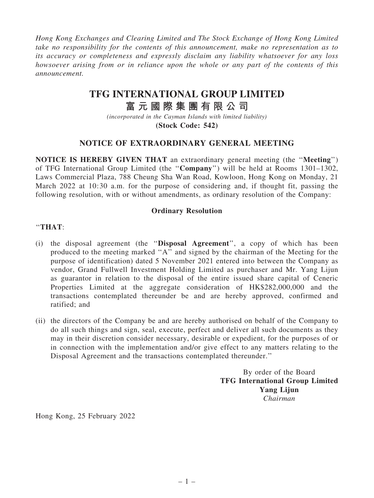*Hong Kong Exchanges and Clearing Limited and The Stock Exchange of Hong Kong Limited take no responsibility for the contents of this announcement, make no representation as to its accuracy or completeness and expressly disclaim any liability whatsoever for any loss howsoever arising from or in reliance upon the whole or any part of the contents of this announcement.*

## **TFG INTERNATIONAL GROUP LIMITED**

# **富 元 國 際 集 團 有 限 公 司**

*(incorporated in the Cayman Islands with limited liability)* **(Stock Code: 542)**

## NOTICE OF EXTRAORDINARY GENERAL MEETING

NOTICE IS HEREBY GIVEN THAT an extraordinary general meeting (the ''Meeting'') of TFG International Group Limited (the ''Company'') will be held at Rooms 1301–1302, Laws Commercial Plaza, 788 Cheung Sha Wan Road, Kowloon, Hong Kong on Monday, 21 March 2022 at 10:30 a.m. for the purpose of considering and, if thought fit, passing the following resolution, with or without amendments, as ordinary resolution of the Company:

### Ordinary Resolution

#### ''THAT:

- (i) the disposal agreement (the ''Disposal Agreement'', a copy of which has been produced to the meeting marked ''A'' and signed by the chairman of the Meeting for the purpose of identification) dated 5 November 2021 entered into between the Company as vendor, Grand Fullwell Investment Holding Limited as purchaser and Mr. Yang Lijun as guarantor in relation to the disposal of the entire issued share capital of Ceneric Properties Limited at the aggregate consideration of HK\$282,000,000 and the transactions contemplated thereunder be and are hereby approved, confirmed and ratified; and
- (ii) the directors of the Company be and are hereby authorised on behalf of the Company to do all such things and sign, seal, execute, perfect and deliver all such documents as they may in their discretion consider necessary, desirable or expedient, for the purposes of or in connection with the implementation and/or give effect to any matters relating to the Disposal Agreement and the transactions contemplated thereunder.''

By order of the Board TFG International Group Limited Yang Lijun *Chairman*

Hong Kong, 25 February 2022